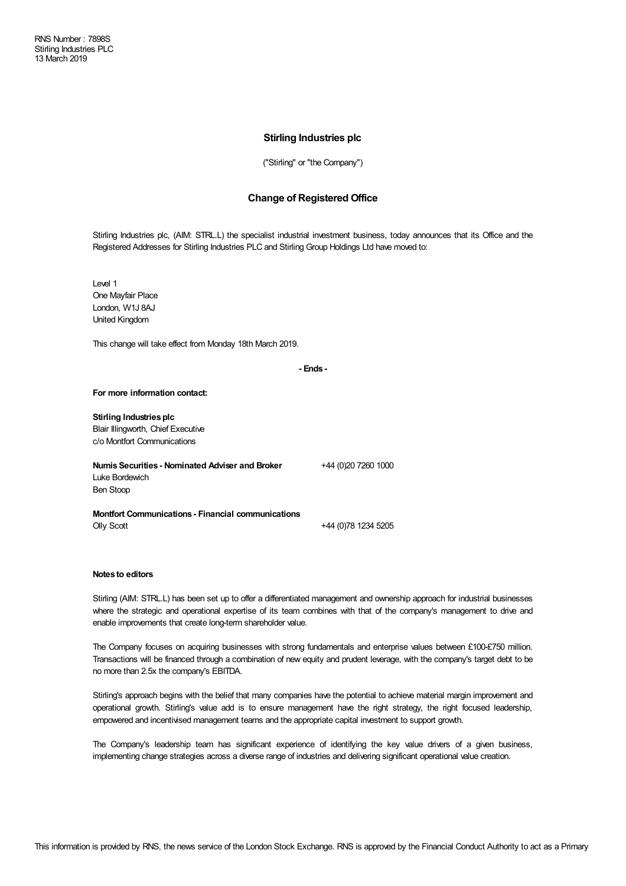## **Stirling Industries plc**

("Stirling" or "the Company")

## **Change of Registered Office**

Stirling Industries plc, (AIM: STRL.L) the specialist industrial investment business, today announces that its Office and the Registered Addresses for Stirling Industries PLC and Stirling Group Holdings Ltd have moved to:

Level 1 One Mayfair Place London, W1J 8AJ United Kingdom

This change will take effect from Monday 18th March 2019.

**- Ends -**

## **For more information contact:**

| Stirling Industries plc<br>Blair Illingworth, Chief Executive<br>c/o Montfort Communications |                     |
|----------------------------------------------------------------------------------------------|---------------------|
| Numis Securities - Nominated Adviser and Broker<br>Luke Bordewich<br>Ben Stoop               | +44 (0)20 7260 1000 |
| <b>Montfort Communications - Financial communications</b><br><b>Olly Scott</b>               | +44 (0)78 1234 5205 |

## **Notes to editors**

Stirling (AIM: STRL.L) has been set up to offer a differentiated management and ownership approach for industrial businesses where the strategic and operational expertise of its team combines with that of the company's management to drive and enable improvements that create long-term shareholder value.

The Company focuses on acquiring businesses with strong fundamentals and enterprise values between £100-£750 million. Transactions will be financed through a combination of new equity and prudent leverage, with the company's target debt to be no more than 2.5x the company's EBITDA.

Stirling's approach begins with the belief that many companies have the potential to achieve material margin improvement and operational growth. Stirling's value add is to ensure management have the right strategy, the right focused leadership, empowered and incentivised management teams and the appropriate capital investment to support growth.

The Company's leadership team has significant experience of identifying the key value drivers of a given business, implementing change strategies across a diverse range of industries and delivering significant operational value creation.